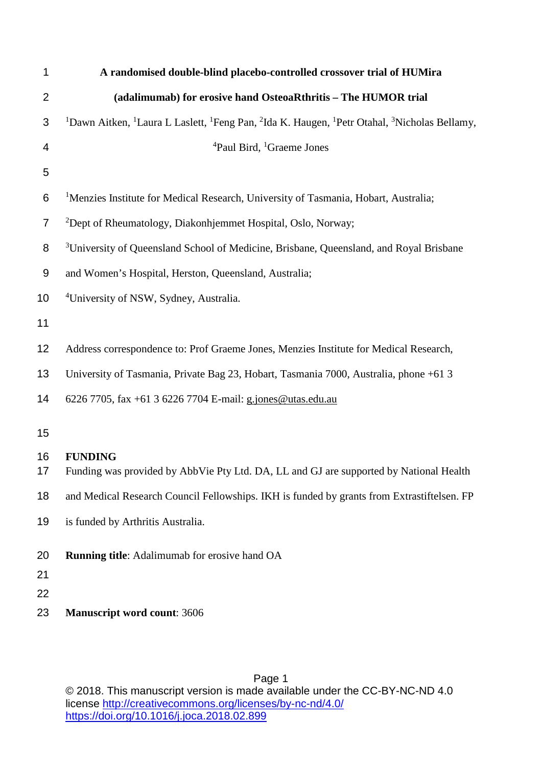| 1              | A randomised double-blind placebo-controlled crossover trial of HUMira                                                                                              |
|----------------|---------------------------------------------------------------------------------------------------------------------------------------------------------------------|
| $\overline{2}$ | (adalimumab) for erosive hand OsteoaRthritis - The HUMOR trial                                                                                                      |
| 3              | <sup>1</sup> Dawn Aitken, <sup>1</sup> Laura L Laslett, <sup>1</sup> Feng Pan, <sup>2</sup> Ida K. Haugen, <sup>1</sup> Petr Otahal, <sup>3</sup> Nicholas Bellamy, |
| 4              | <sup>4</sup> Paul Bird, <sup>1</sup> Graeme Jones                                                                                                                   |
| 5              |                                                                                                                                                                     |
| 6              | <sup>1</sup> Menzies Institute for Medical Research, University of Tasmania, Hobart, Australia;                                                                     |
| $\overline{7}$ | <sup>2</sup> Dept of Rheumatology, Diakonhjemmet Hospital, Oslo, Norway;                                                                                            |
| 8              | <sup>3</sup> University of Queensland School of Medicine, Brisbane, Queensland, and Royal Brisbane                                                                  |
| $9\,$          | and Women's Hospital, Herston, Queensland, Australia;                                                                                                               |
| 10             | <sup>4</sup> University of NSW, Sydney, Australia.                                                                                                                  |
| 11             |                                                                                                                                                                     |
| 12             | Address correspondence to: Prof Graeme Jones, Menzies Institute for Medical Research,                                                                               |
| 13             | University of Tasmania, Private Bag 23, Hobart, Tasmania 7000, Australia, phone +61 3                                                                               |
| 14             | 6226 7705, fax +61 3 6226 7704 E-mail: g.jones@utas.edu.au                                                                                                          |
| 15             |                                                                                                                                                                     |
| 16<br>17       | <b>FUNDING</b><br>Funding was provided by AbbVie Pty Ltd. DA, LL and GJ are supported by National Health                                                            |
| 18             | and Medical Research Council Fellowships. IKH is funded by grants from Extrastiftelsen. FP                                                                          |
| 19             | is funded by Arthritis Australia.                                                                                                                                   |
| 20             | <b>Running title:</b> Adalimumab for erosive hand OA                                                                                                                |
| 21<br>22       |                                                                                                                                                                     |

23 **Manuscript word count**: 3606

Page 1 © 2018. This manuscript version is made available under the CC-BY-NC-ND 4.0 license<http://creativecommons.org/licenses/by-nc-nd/4.0/> <https://doi.org/10.1016/j.joca.2018.02.899>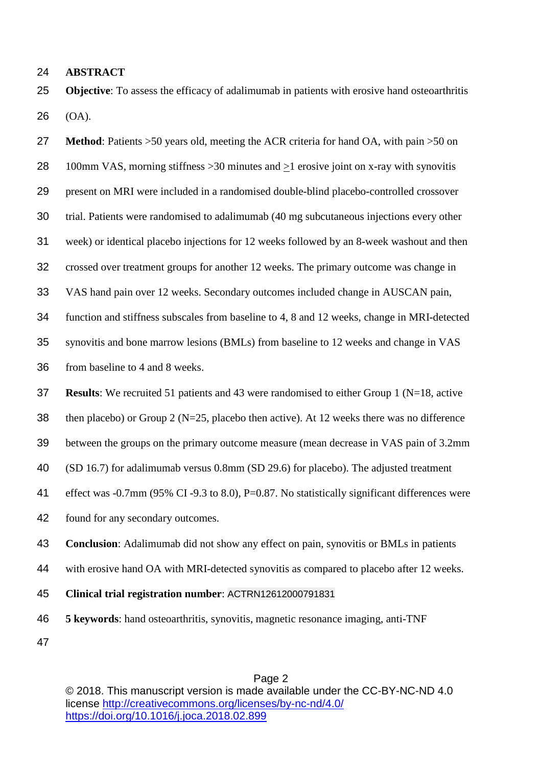- **ABSTRACT**
- **Objective**: To assess the efficacy of adalimumab in patients with erosive hand osteoarthritis (OA).

**Method**: Patients >50 years old, meeting the ACR criteria for hand OA, with pain >50 on 28 100mm VAS, morning stiffness  $>$ 30 minutes and  $>$ 1 erosive joint on x-ray with synovitis present on MRI were included in a randomised double-blind placebo-controlled crossover trial. Patients were randomised to adalimumab (40 mg subcutaneous injections every other week) or identical placebo injections for 12 weeks followed by an 8-week washout and then crossed over treatment groups for another 12 weeks. The primary outcome was change in VAS hand pain over 12 weeks. Secondary outcomes included change in AUSCAN pain, function and stiffness subscales from baseline to 4, 8 and 12 weeks, change in MRI-detected synovitis and bone marrow lesions (BMLs) from baseline to 12 weeks and change in VAS from baseline to 4 and 8 weeks. **Results**: We recruited 51 patients and 43 were randomised to either Group 1 (N=18, active then placebo) or Group 2 (N=25, placebo then active). At 12 weeks there was no difference between the groups on the primary outcome measure (mean decrease in VAS pain of 3.2mm (SD 16.7) for adalimumab versus 0.8mm (SD 29.6) for placebo). The adjusted treatment effect was -0.7mm (95% CI -9.3 to 8.0), P=0.87. No statistically significant differences were found for any secondary outcomes. **Conclusion**: Adalimumab did not show any effect on pain, synovitis or BMLs in patients with erosive hand OA with MRI-detected synovitis as compared to placebo after 12 weeks. **Clinical trial registration number**: ACTRN12612000791831 **5 keywords**: hand osteoarthritis, synovitis, magnetic resonance imaging, anti-TNF

Page 2 © 2018. This manuscript version is made available under the CC-BY-NC-ND 4.0 license<http://creativecommons.org/licenses/by-nc-nd/4.0/> <https://doi.org/10.1016/j.joca.2018.02.899>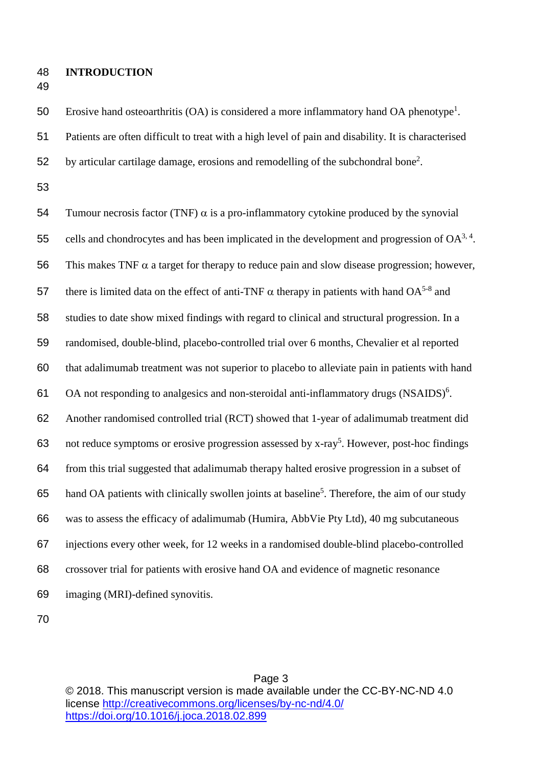- 48 **INTRODUCTION**
- 49

 $50$  Erosive hand osteoarthritis (OA) is considered a more inflammatory hand OA phenotype<sup>1</sup>. 51 Patients are often difficult to treat with a high level of pain and disability. It is characterised 52 by articular cartilage damage, erosions and remodelling of the subchondral bone<sup>2</sup>.

53

 Tumour necrosis factor (TNF) α is a pro-inflammatory cytokine produced by the synovial 55 cells and chondrocytes and has been implicated in the development and progression of  $OA^{3,4}$ . 56 This makes TNF  $\alpha$  a target for therapy to reduce pain and slow disease progression; however, there is limited data on the effect of anti-TNF α therapy in patients with hand  $OA<sup>5-8</sup>$  and studies to date show mixed findings with regard to clinical and structural progression. In a randomised, double-blind, placebo-controlled trial over 6 months, Chevalier et al reported that adalimumab treatment was not superior to placebo to alleviate pain in patients with hand 1 OA not responding to analgesics and non-steroidal anti-inflammatory drugs  $(NSAIDS)^6$ . Another randomised controlled trial (RCT) showed that 1-year of adalimumab treatment did 63 not reduce symptoms or erosive progression assessed by x-ray<sup>5</sup>. However, post-hoc findings from this trial suggested that adalimumab therapy halted erosive progression in a subset of 65 hand OA patients with clinically swollen joints at baseline<sup>5</sup>. Therefore, the aim of our study was to assess the efficacy of adalimumab (Humira, AbbVie Pty Ltd), 40 mg subcutaneous injections every other week, for 12 weeks in a randomised double-blind placebo-controlled crossover trial for patients with erosive hand OA and evidence of magnetic resonance imaging (MRI)-defined synovitis.

70

Page 3 © 2018. This manuscript version is made available under the CC-BY-NC-ND 4.0 license<http://creativecommons.org/licenses/by-nc-nd/4.0/> <https://doi.org/10.1016/j.joca.2018.02.899>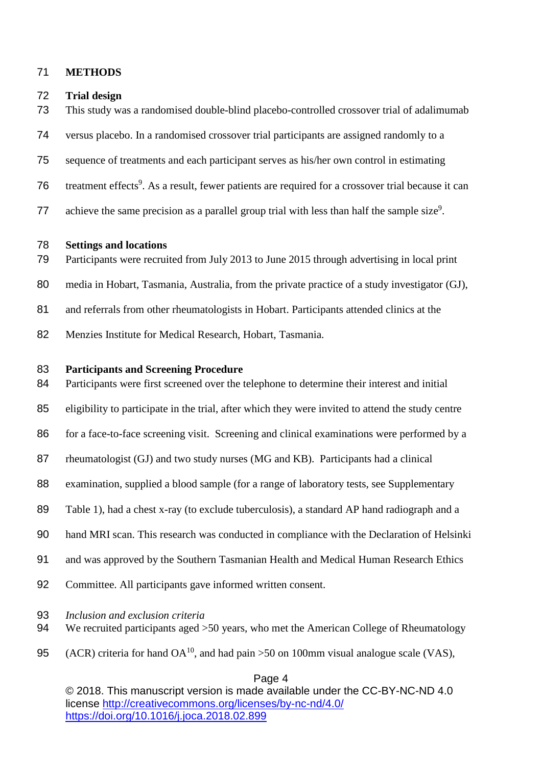## 71 **METHODS**

## 72 **Trial design**

- 73 This study was a randomised double-blind placebo-controlled crossover trial of adalimumab
- 74 versus placebo. In a randomised crossover trial participants are assigned randomly to a
- 75 sequence of treatments and each participant serves as his/her own control in estimating
- 76 treatment effects<sup>9</sup>[.](#page-26-6) As a result, fewer patients are required for a crossover trial because it can
- 77 achieve the same precision as a parallel group trial with less than half the sample size<sup>9</sup>.

## 78 **Settings and locations**

- 79 Participants were recruited from July 2013 to June 2015 through advertising in local print
- 80 media in Hobart, Tasmania, Australia, from the private practice of a study investigator (GJ),
- 81 and referrals from other rheumatologists in Hobart. Participants attended clinics at the
- 82 Menzies Institute for Medical Research, Hobart, Tasmania.

## 83 **Participants and Screening Procedure**

84 Participants were first screened over the telephone to determine their interest and initial

85 eligibility to participate in the trial, after which they were invited to attend the study centre

- 86 for a face-to-face screening visit. Screening and clinical examinations were performed by a
- 87 rheumatologist (GJ) and two study nurses (MG and KB). Participants had a clinical
- 88 examination, supplied a blood sample (for a range of laboratory tests, see Supplementary
- 89 Table 1), had a chest x-ray (to exclude tuberculosis), a standard AP hand radiograph and a
- 90 hand MRI scan. This research was conducted in compliance with the Declaration of Helsinki
- 91 and was approved by the Southern Tasmanian Health and Medical Human Research Ethics
- 92 Committee. All participants gave informed written consent.

## 93 *Inclusion and exclusion criteria*

- 94 We recruited participants aged >50 years, who met the American College of Rheumatology
- 95 (ACR) criteria for hand  $OA^{10}$ , and had pain  $>50$  on 100mm visual analogue scale (VAS),

## Page 4

© 2018. This manuscript version is made available under the CC-BY-NC-ND 4.0 license<http://creativecommons.org/licenses/by-nc-nd/4.0/> <https://doi.org/10.1016/j.joca.2018.02.899>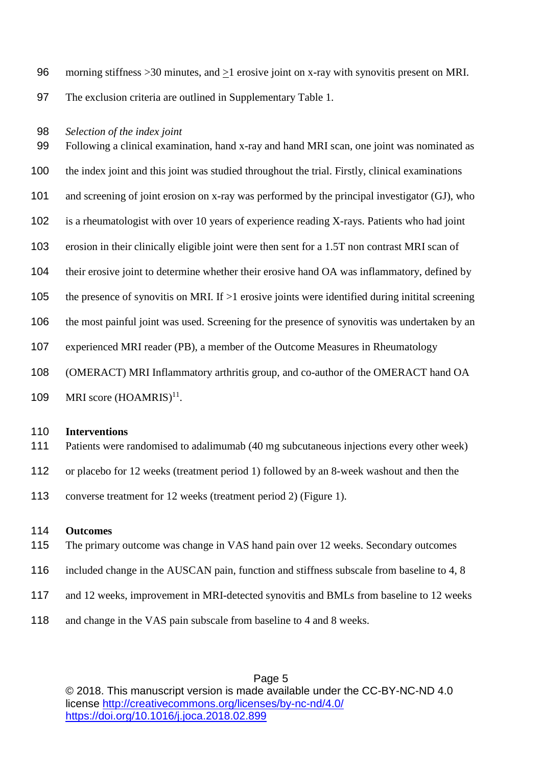- 96 morning stiffness  $>$ 30 minutes, and  $>$ 1 erosive joint on x-ray with synovitis present on MRI.
- The exclusion criteria are outlined in Supplementary Table 1.

#### *Selection of the index joint*

 Following a clinical examination, hand x-ray and hand MRI scan, one joint was nominated as the index joint and this joint was studied throughout the trial. Firstly, clinical examinations and screening of joint erosion on x-ray was performed by the principal investigator (GJ), who is a rheumatologist with over 10 years of experience reading X-rays. Patients who had joint erosion in their clinically eligible joint were then sent for a 1.5T non contrast MRI scan of their erosive joint to determine whether their erosive hand OA was inflammatory, defined by 105 the presence of synovitis on MRI. If >1 erosive joints were identified during initital screening the most painful joint was used. Screening for the presence of synovitis was undertaken by an experienced MRI reader (PB), a member of the Outcome Measures in Rheumatology (OMERACT) MRI Inflammatory arthritis group, and co-author of the OMERACT hand OA 109 MRI score  $(HOAMRIS)^{11}$ .

## **Interventions**

- Patients were randomised to adalimumab (40 mg subcutaneous injections every other week)
- or placebo for 12 weeks (treatment period 1) followed by an 8-week washout and then the
- converse treatment for 12 weeks (treatment period 2) (Figure 1).

## **Outcomes**

- The primary outcome was change in VAS hand pain over 12 weeks. Secondary outcomes
- 116 included change in the AUSCAN pain, function and stiffness subscale from baseline to 4, 8
- and 12 weeks, improvement in MRI-detected synovitis and BMLs from baseline to 12 weeks
- and change in the VAS pain subscale from baseline to 4 and 8 weeks.

Page 5 © 2018. This manuscript version is made available under the CC-BY-NC-ND 4.0 license<http://creativecommons.org/licenses/by-nc-nd/4.0/> <https://doi.org/10.1016/j.joca.2018.02.899>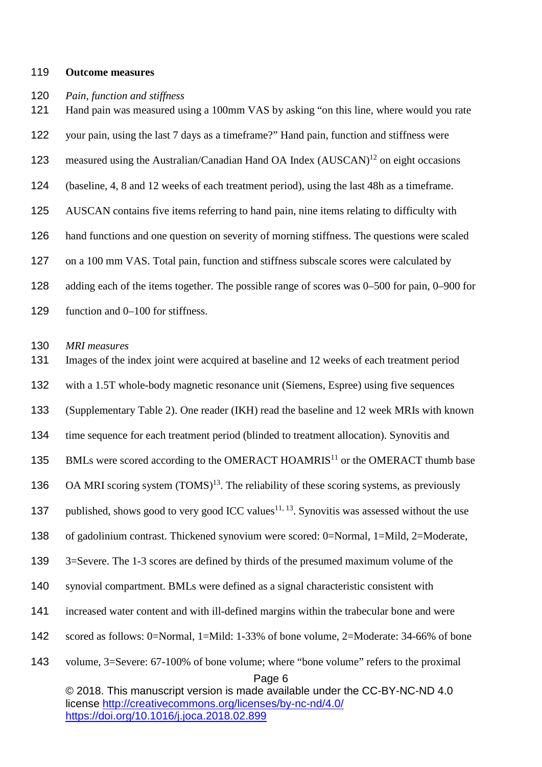## **Outcome measures**

#### *Pain, function and stiffness*

 Hand pain was measured using a 100mm VAS by asking "on this line, where would you rate 122 vour pain, using the last 7 days as a time frame?" Hand pain, function and stiffness were 123 measured using the Australian/Canadian Hand OA Index  $(AUSCAN)^{12}$  on eight occasions (baseline, 4, 8 and 12 weeks of each treatment period), using the last 48h as a timeframe. AUSCAN contains five items referring to hand pain, nine items relating to difficulty with hand functions and one question on severity of morning stiffness. The questions were scaled 127 on a 100 mm VAS. Total pain, function and stiffness subscale scores were calculated by adding each of the items together. The possible range of scores was 0–500 for pain, 0–900 for 129 function and 0–100 for stiffness.

### *MRI measures*

Images of the index joint were acquired at baseline and 12 weeks of each treatment period

with a 1.5T whole-body magnetic resonance unit (Siemens, Espree) using five sequences

(Supplementary Table 2). One reader (IKH) read the baseline and 12 week MRIs with known

time sequence for each treatment period (blinded to treatment allocation). Synovitis and

135 BMLs were scored according to the OMERACT HOAMRIS<sup>[11](#page-26-8)</sup> or the OMERACT thumb base

136 . OA MRI scoring system  $(TOMS)^{13}$ . The reliability of these scoring systems, as previously

137 published, shows good to very good ICC values<sup>[11,](#page-26-8) [13](#page-26-10)</sup>. Synovitis was assessed without the use

of gadolinium contrast. Thickened synovium were scored: 0=Normal, 1=Mild, 2=Moderate,

3=Severe. The 1-3 scores are defined by thirds of the presumed maximum volume of the

- synovial compartment. BMLs were defined as a signal characteristic consistent with
- increased water content and with ill-defined margins within the trabecular bone and were
- scored as follows: 0=Normal, 1=Mild: 1-33% of bone volume, 2=Moderate: 34-66% of bone
- Page 6 volume, 3=Severe: 67-100% of bone volume; where "bone volume" refers to the proximal

© 2018. This manuscript version is made available under the CC-BY-NC-ND 4.0 license<http://creativecommons.org/licenses/by-nc-nd/4.0/> <https://doi.org/10.1016/j.joca.2018.02.899>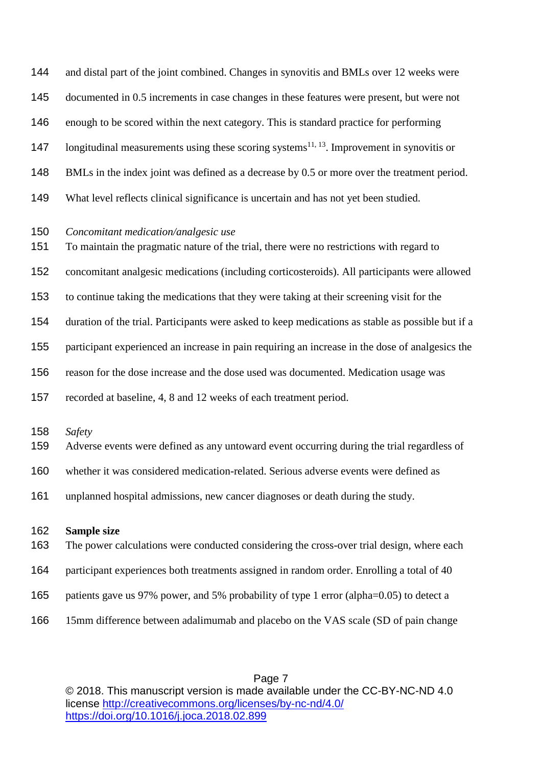and distal part of the joint combined. Changes in synovitis and BMLs over 12 weeks were

documented in 0.5 increments in case changes in these features were present, but were not

enough to be scored within the next category. This is standard practice for performing

147 longitudinal measurements using these scoring systems<sup>[11,](#page-26-8) [13](#page-26-10)</sup>. Improvement in synovitis or

BMLs in the index joint was defined as a decrease by 0.5 or more over the treatment period.

What level reflects clinical significance is uncertain and has not yet been studied.

*Concomitant medication/analgesic use*

To maintain the pragmatic nature of the trial, there were no restrictions with regard to

concomitant analgesic medications (including corticosteroids). All participants were allowed

to continue taking the medications that they were taking at their screening visit for the

duration of the trial. Participants were asked to keep medications as stable as possible but if a

participant experienced an increase in pain requiring an increase in the dose of analgesics the

reason for the dose increase and the dose used was documented. Medication usage was

recorded at baseline, 4, 8 and 12 weeks of each treatment period.

*Safety*

Adverse events were defined as any untoward event occurring during the trial regardless of

whether it was considered medication-related. Serious adverse events were defined as

unplanned hospital admissions, new cancer diagnoses or death during the study.

# **Sample size**

- The power calculations were conducted considering the cross-over trial design, where each
- participant experiences both treatments assigned in random order. Enrolling a total of 40
- patients gave us 97% power, and 5% probability of type 1 error (alpha=0.05) to detect a
- 15mm difference between adalimumab and placebo on the VAS scale (SD of pain change

Page 7 © 2018. This manuscript version is made available under the CC-BY-NC-ND 4.0 license<http://creativecommons.org/licenses/by-nc-nd/4.0/> <https://doi.org/10.1016/j.joca.2018.02.899>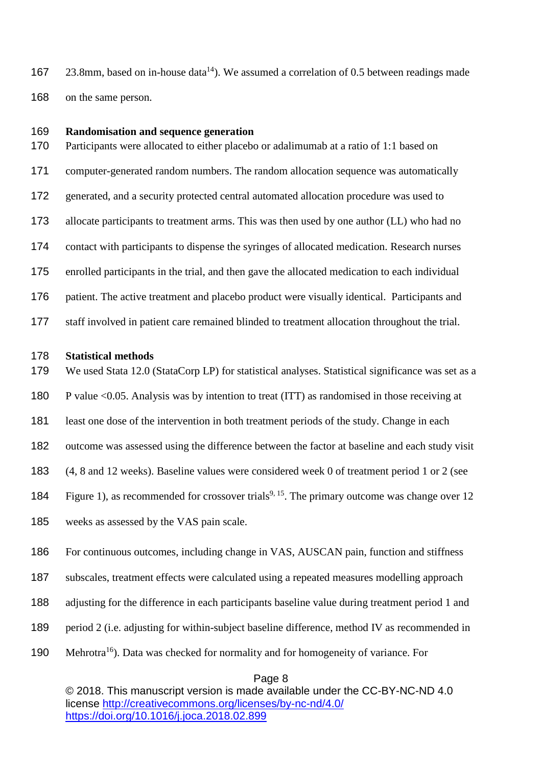167 23.8mm, based on in-house data<sup>14</sup>). We assumed a correlation of 0.5 between readings made on the same person.

#### **Randomisation and sequence generation**

 Participants were allocated to either placebo or adalimumab at a ratio of 1:1 based on computer-generated random numbers. The random allocation sequence was automatically generated, and a security protected central automated allocation procedure was used to allocate participants to treatment arms. This was then used by one author (LL) who had no contact with participants to dispense the syringes of allocated medication. Research nurses enrolled participants in the trial, and then gave the allocated medication to each individual patient. The active treatment and placebo product were visually identical. Participants and staff involved in patient care remained blinded to treatment allocation throughout the trial.

## **Statistical methods**

We used Stata 12.0 (StataCorp LP) for statistical analyses. Statistical significance was set as a

P value <0.05. Analysis was by intention to treat (ITT) as randomised in those receiving at

least one dose of the intervention in both treatment periods of the study. Change in each

outcome was assessed using the difference between the factor at baseline and each study visit

(4, 8 and 12 weeks). Baseline values were considered week 0 of treatment period 1 or 2 (see

- 184 Figure 1), as recommended for crossover trials<sup>[9,](#page-26-6) [15](#page-27-0)</sup>. The primary outcome was change over 12
- 185 weeks as assessed by the VAS pain scale.
- For continuous outcomes, including change in VAS, AUSCAN pain, function and stiffness
- subscales, treatment effects were calculated using a repeated measures modelling approach
- adjusting for the difference in each participants baseline value during treatment period 1 and
- period 2 (i.e. adjusting for within-subject baseline difference, method IV as recommended in
- 190 Mehrotra<sup>16</sup>). Data was checked for normality and for homogeneity of variance. For

Page 8 © 2018. This manuscript version is made available under the CC-BY-NC-ND 4.0 license<http://creativecommons.org/licenses/by-nc-nd/4.0/> <https://doi.org/10.1016/j.joca.2018.02.899>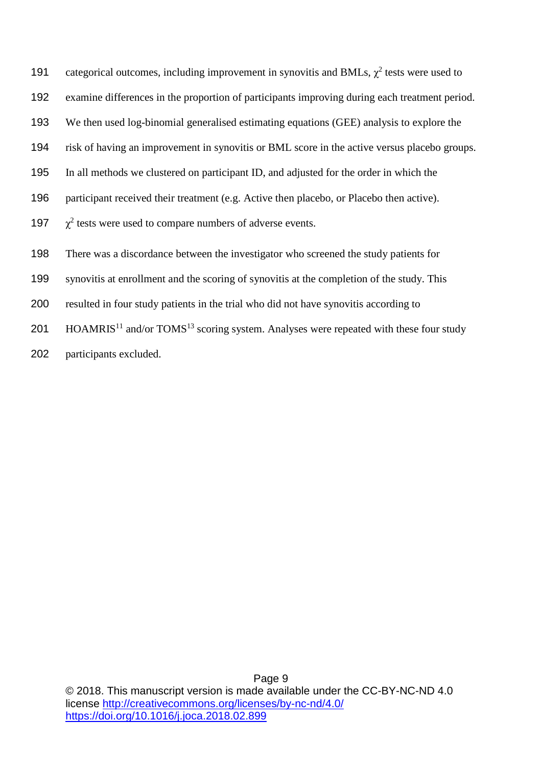191 categorical outcomes, including improvement in synovitis and BMLs,  $\chi^2$  tests were used to examine differences in the proportion of participants improving during each treatment period. We then used log-binomial generalised estimating equations (GEE) analysis to explore the risk of having an improvement in synovitis or BML score in the active versus placebo groups. In all methods we clustered on participant ID, and adjusted for the order in which the participant received their treatment (e.g. Active then placebo, or Placebo then active).  $\gamma^2$  tests were used to compare numbers of adverse events. There was a discordance between the investigator who screened the study patients for synovitis at enrollment and the scoring of synovitis at the completion of the study. This resulted in four study patients in the trial who did not have synovitis according to 201 HOAMRIS<sup>[11](#page-26-8)</sup> and/or TOMS<sup>[13](#page-26-10)</sup> scoring system. Analyses were repeated with these four study participants excluded.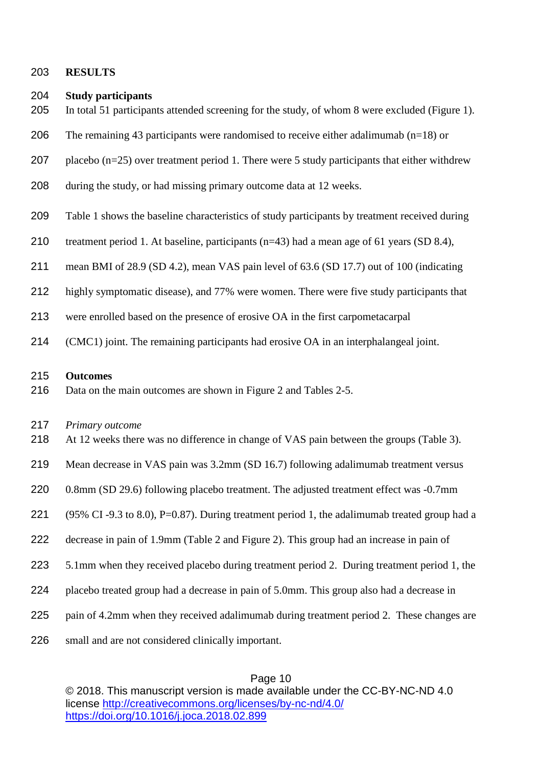#### **RESULTS**

#### **Study participants**

- In total 51 participants attended screening for the study, of whom 8 were excluded (Figure 1).
- 206 The remaining 43 participants were randomised to receive either adalimumab  $(n=18)$  or
- 207 placebo  $(n=25)$  over treatment period 1. There were 5 study participants that either withdrew
- during the study, or had missing primary outcome data at 12 weeks.
- Table 1 shows the baseline characteristics of study participants by treatment received during
- treatment period 1. At baseline, participants (n=43) had a mean age of 61 years (SD 8.4),
- mean BMI of 28.9 (SD 4.2), mean VAS pain level of 63.6 (SD 17.7) out of 100 (indicating
- highly symptomatic disease), and 77% were women. There were five study participants that
- were enrolled based on the presence of erosive OA in the first carpometacarpal
- (CMC1) joint. The remaining participants had erosive OA in an interphalangeal joint.

### **Outcomes**

Data on the main outcomes are shown in Figure 2 and Tables 2-5.

## *Primary outcome*

- At 12 weeks there was no difference in change of VAS pain between the groups (Table 3).
- Mean decrease in VAS pain was 3.2mm (SD 16.7) following adalimumab treatment versus
- 220 0.8mm (SD 29.6) following placebo treatment. The adjusted treatment effect was -0.7mm
- (95% CI -9.3 to 8.0), P=0.87). During treatment period 1, the adalimumab treated group had a
- decrease in pain of 1.9mm (Table 2 and Figure 2). This group had an increase in pain of
- 5.1mm when they received placebo during treatment period 2. During treatment period 1, the
- placebo treated group had a decrease in pain of 5.0mm. This group also had a decrease in
- pain of 4.2mm when they received adalimumab during treatment period 2. These changes are
- small and are not considered clinically important.

© 2018. This manuscript version is made available under the CC-BY-NC-ND 4.0 license<http://creativecommons.org/licenses/by-nc-nd/4.0/> <https://doi.org/10.1016/j.joca.2018.02.899>

#### Page 10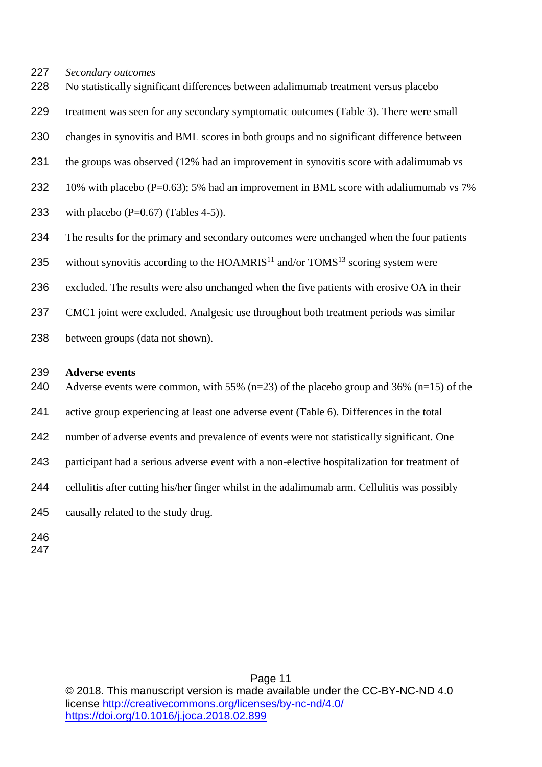*Secondary outcomes*

- No statistically significant differences between adalimumab treatment versus placebo
- treatment was seen for any secondary symptomatic outcomes (Table 3). There were small
- changes in synovitis and BML scores in both groups and no significant difference between
- the groups was observed (12% had an improvement in synovitis score with adalimumab vs
- 232 10% with placebo ( $P=0.63$ ); 5% had an improvement in BML score with adaliumumab vs 7%
- 233 with placebo  $(P=0.67)$  (Tables 4-5)).
- 234 The results for the primary and secondary outcomes were unchanged when the four patients
- 235 without synovitis according to the HOAMRIS<sup>[11](#page-26-8)</sup> and/or TOMS<sup>[13](#page-26-10)</sup> scoring system were
- excluded. The results were also unchanged when the five patients with erosive OA in their
- CMC1 joint were excluded. Analgesic use throughout both treatment periods was similar
- between groups (data not shown).

## **Adverse events**

 Adverse events were common, with 55% (n=23) of the placebo group and 36% (n=15) of the active group experiencing at least one adverse event [\(Table](#page-23-0) 6). Differences in the total number of adverse events and prevalence of events were not statistically significant. One participant had a serious adverse event with a non-elective hospitalization for treatment of cellulitis after cutting his/her finger whilst in the adalimumab arm. Cellulitis was possibly causally related to the study drug.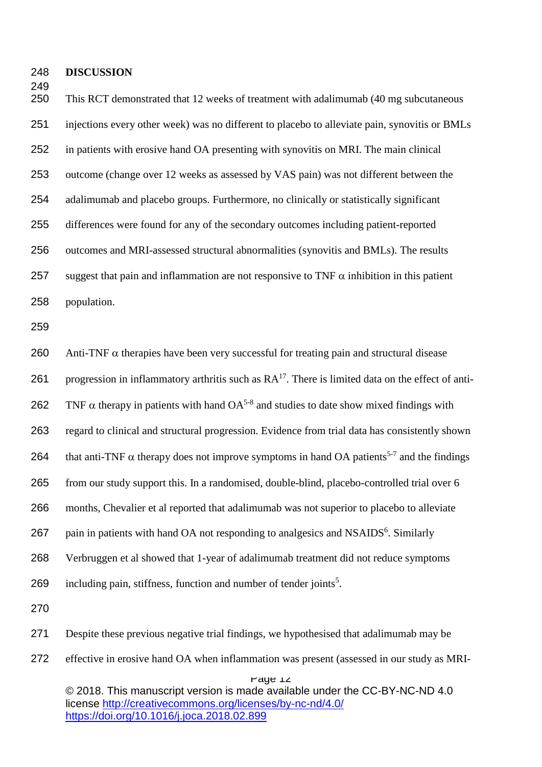#### **DISCUSSION**

 This RCT demonstrated that 12 weeks of treatment with adalimumab (40 mg subcutaneous injections every other week) was no different to placebo to alleviate pain, synovitis or BMLs in patients with erosive hand OA presenting with synovitis on MRI. The main clinical outcome (change over 12 weeks as assessed by VAS pain) was not different between the adalimumab and placebo groups. Furthermore, no clinically or statistically significant differences were found for any of the secondary outcomes including patient-reported outcomes and MRI-assessed structural abnormalities (synovitis and BMLs). The results 257 suggest that pain and inflammation are not responsive to TNF  $\alpha$  inhibition in this patient population.

260 Anti-TNF  $\alpha$  therapies have been very successful for treating pain and structural disease 261 progression in inflammatory arthritis such as  $RA^{17}$ . There is limited data on the effect of anti-TNF α therapy in patients with hand  $OA<sup>5-8</sup>$  and studies to date show mixed findings with regard to clinical and structural progression. Evidence from trial data has consistently shown 264 that anti-TNF  $\alpha$  therapy does not improve symptoms in hand OA patients<sup>[5-7](#page-26-4)</sup> and the findings from our study support this. In a randomised, double-blind, placebo-controlled trial over 6 months, Chevalier et al reported that adalimumab was not superior to placebo to alleviate 267 pain in patients with hand OA not responding to analgesics and  $NSAIDS<sup>6</sup>$ [.](#page-26-5) Similarly Verbruggen et al showed that 1-year of adalimumab treatment did not reduce symptoms 269 including pain, stiffness, function and number of tender joints<sup>[5](#page-26-4)</sup>. 

Despite these previous negative trial findings, we hypothesised that adalimumab may be

effective in erosive hand OA when inflammation was present (assessed in our study as MRI-

Page 12 © 2018. This manuscript version is made available under the CC-BY-NC-ND 4.0 license<http://creativecommons.org/licenses/by-nc-nd/4.0/> <https://doi.org/10.1016/j.joca.2018.02.899>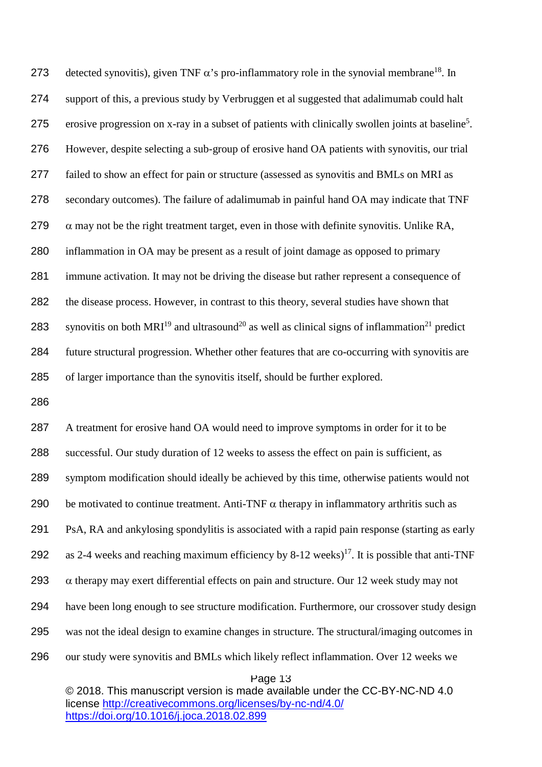273 detected synovitis), given TNF  $\alpha$ 's pro-inflammatory role in the synovial membrane<sup>18</sup>. In support of this, a previous study by Verbruggen et al suggested that adalimumab could halt 275 erosive progression on x-ray in a subset of patients with clinically swollen joints at baseline<sup>5</sup>. However, despite selecting a sub-group of erosive hand OA patients with synovitis, our trial failed to show an effect for pain or structure (assessed as synovitis and BMLs on MRI as secondary outcomes). The failure of adalimumab in painful hand OA may indicate that TNF  $\alpha$  may not be the right treatment target, even in those with definite synovitis. Unlike RA, inflammation in OA may be present as a result of joint damage as opposed to primary immune activation. It may not be driving the disease but rather represent a consequence of 282 the disease process. However, in contrast to this theory, several studies have shown that 283 synovitis on both MRI<sup>19</sup> and ultrasound<sup>20</sup> as well as clinical signs of inflammation<sup>[21](#page-27-6)</sup> predict future structural progression. Whether other features that are co-occurring with synovitis are of larger importance than the synovitis itself, should be further explored.

286

Page 13 287 A treatment for erosive hand OA would need to improve symptoms in order for it to be successful. Our study duration of 12 weeks to assess the effect on pain is sufficient, as symptom modification should ideally be achieved by this time, otherwise patients would not 290 be motivated to continue treatment. Anti-TNF  $\alpha$  therapy in inflammatory arthritis such as PsA, RA and ankylosing spondylitis is associated with a rapid pain response (starting as early 292 as 2-4 weeks and reaching maximum efficiency by 8-12 weeks)<sup>17</sup>. It is possible that anti-TNF  $\alpha$  therapy may exert differential effects on pain and structure. Our 12 week study may not have been long enough to see structure modification. Furthermore, our crossover study design was not the ideal design to examine changes in structure. The structural/imaging outcomes in our study were synovitis and BMLs which likely reflect inflammation. Over 12 weeks we

© 2018. This manuscript version is made available under the CC-BY-NC-ND 4.0 license<http://creativecommons.org/licenses/by-nc-nd/4.0/> <https://doi.org/10.1016/j.joca.2018.02.899>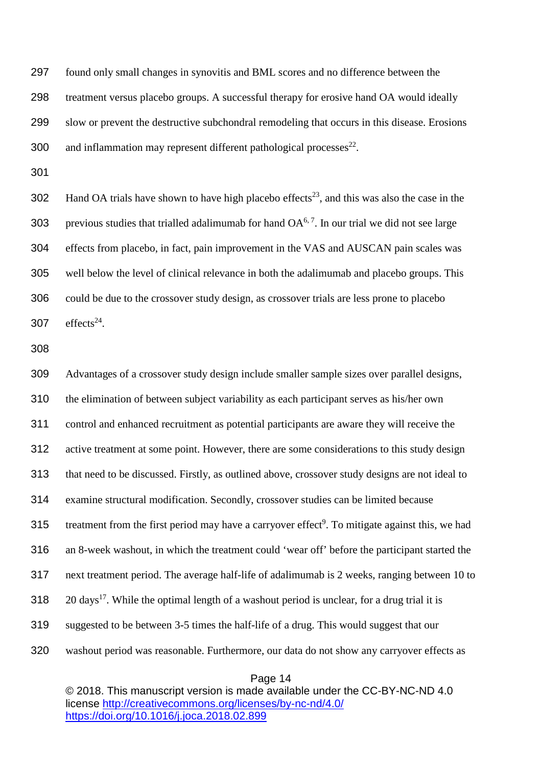found only small changes in synovitis and BML scores and no difference between the treatment versus placebo groups. A successful therapy for erosive hand OA would ideally slow or prevent the destructive subchondral remodeling that occurs in this disease. Erosions 300 and inflammation may represent different pathological processes .

302 Hand OA trials have shown to have high placebo effects<sup>[23](#page-27-8)</sup>, and this was also the case in the 303 previous studies that trialled adalimumab for hand  $OA<sup>6,7</sup>$ . In our trial we did not see large effects from placebo, in fact, pain improvement in the VAS and AUSCAN pain scales was well below the level of clinical relevance in both the adalimumab and placebo groups. This could be due to the crossover study design, as crossover trials are less prone to placebo 307  $\text{effects}^{24}$  $\text{effects}^{24}$  $\text{effects}^{24}$ .

 Advantages of a crossover study design include smaller sample sizes over parallel designs, the elimination of between subject variability as each participant serves as his/her own control and enhanced recruitment as potential participants are aware they will receive the active treatment at some point. However, there are some considerations to this study design that need to be discussed. Firstly, as outlined above, crossover study designs are not ideal to examine structural modification. Secondly, crossover studies can be limited because 315 treatment from the first period may have a carryover effect<sup>[9](#page-26-6)</sup>. To mitigate against this, we had an 8-week washout, in which the treatment could 'wear off' before the participant started the next treatment period. The average half-life of adalimumab is 2 weeks, ranging between 10 to 20 days<sup>[17](#page-27-2)</sup>. While the optimal length of a washout period is unclear, for a drug trial it is suggested to be between 3-5 times the half-life of a drug. This would suggest that our washout period was reasonable. Furthermore, our data do not show any carryover effects as

Page 14 © 2018. This manuscript version is made available under the CC-BY-NC-ND 4.0 license<http://creativecommons.org/licenses/by-nc-nd/4.0/> <https://doi.org/10.1016/j.joca.2018.02.899>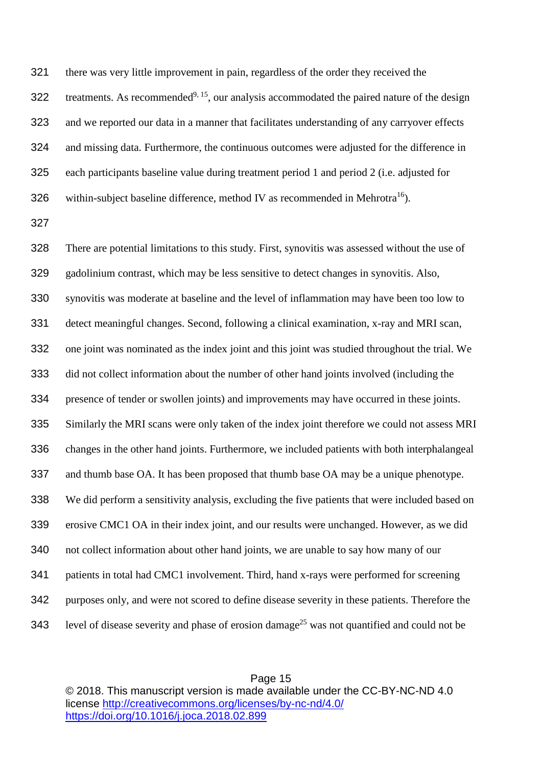there was very little improvement in pain, regardless of the order they received the 322 treatments. As recommended<sup>9, [15](#page-27-0)</sup>, our analysis accommodated the paired nature of the design and we reported our data in a manner that facilitates understanding of any carryover effects and missing data. Furthermore, the continuous outcomes were adjusted for the difference in each participants baseline value during treatment period 1 and period 2 (i.e. adjusted for 326 within-subject baseline difference, method IV as recommended in Mehrotra<sup>16</sup>).

 There are potential limitations to this study. First, synovitis was assessed without the use of gadolinium contrast, which may be less sensitive to detect changes in synovitis. Also, synovitis was moderate at baseline and the level of inflammation may have been too low to detect meaningful changes. Second, following a clinical examination, x-ray and MRI scan, one joint was nominated as the index joint and this joint was studied throughout the trial. We did not collect information about the number of other hand joints involved (including the presence of tender or swollen joints) and improvements may have occurred in these joints. Similarly the MRI scans were only taken of the index joint therefore we could not assess MRI changes in the other hand joints. Furthermore, we included patients with both interphalangeal and thumb base OA. It has been proposed that thumb base OA may be a unique phenotype. We did perform a sensitivity analysis, excluding the five patients that were included based on erosive CMC1 OA in their index joint, and our results were unchanged. However, as we did not collect information about other hand joints, we are unable to say how many of our patients in total had CMC1 involvement. Third, hand x-rays were performed for screening purposes only, and were not scored to define disease severity in these patients. Therefore the 343 level of disease severity and phase of erosion damage<sup>25</sup> was not quantified and could not be

Page 15 © 2018. This manuscript version is made available under the CC-BY-NC-ND 4.0 license<http://creativecommons.org/licenses/by-nc-nd/4.0/> <https://doi.org/10.1016/j.joca.2018.02.899>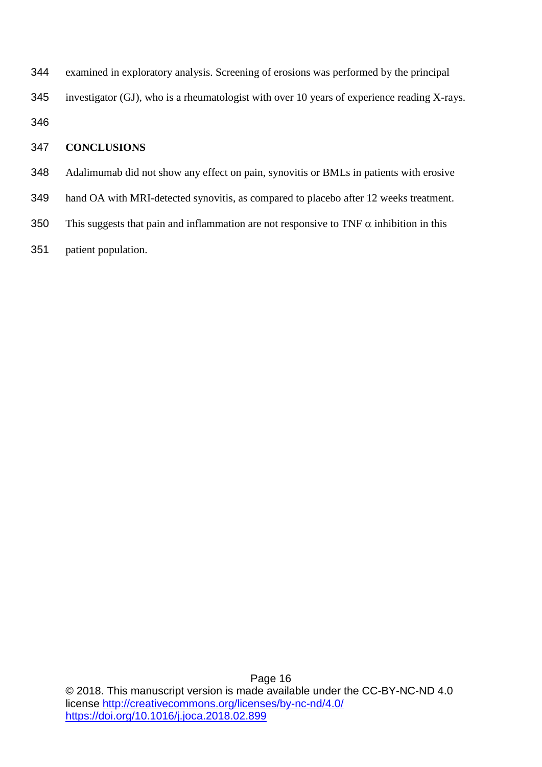| 344 | examined in exploratory analysis. Screening of erosions was performed by the principal      |
|-----|---------------------------------------------------------------------------------------------|
| 345 | investigator (GJ), who is a rheumatologist with over 10 years of experience reading X-rays. |
| 346 |                                                                                             |

# 347 **CONCLUSIONS**

- 348 Adalimumab did not show any effect on pain, synovitis or BMLs in patients with erosive
- 349 hand OA with MRI-detected synovitis, as compared to placebo after 12 weeks treatment.
- 350 This suggests that pain and inflammation are not responsive to TNF  $\alpha$  inhibition in this
- 351 patient population.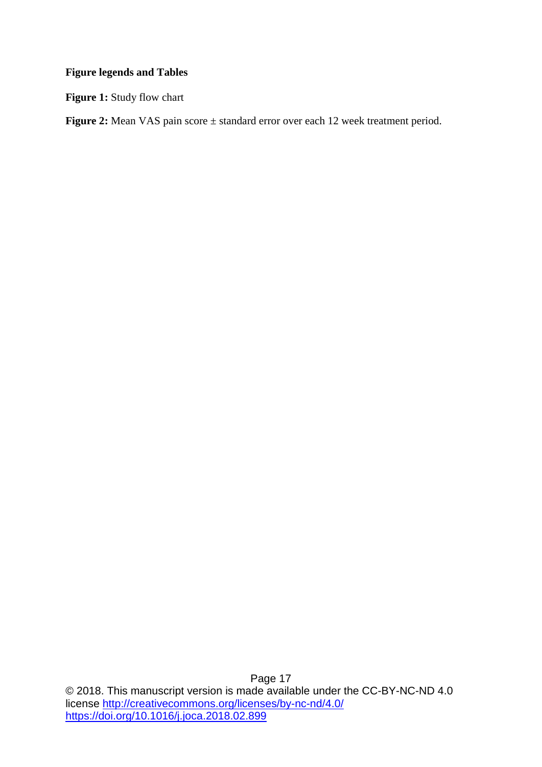# **Figure legends and Tables**

**Figure 1:** Study flow chart

**Figure 2:** Mean VAS pain score  $\pm$  standard error over each 12 week treatment period.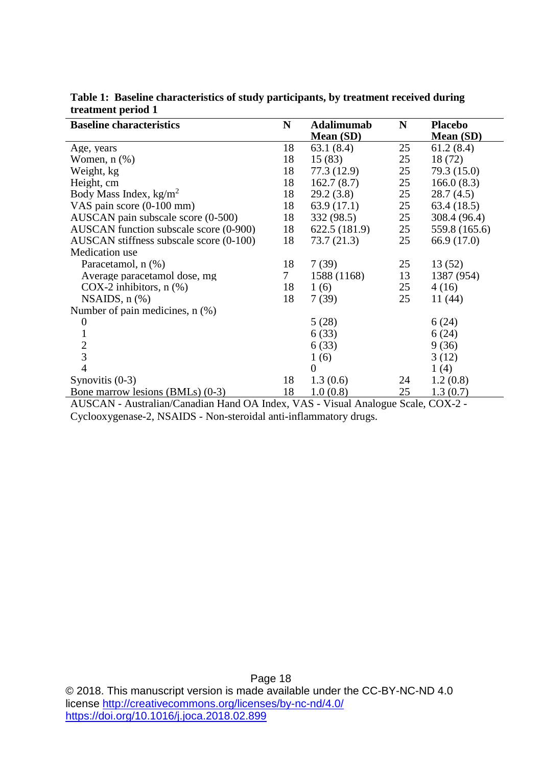| <b>Baseline characteristics</b>             |                 | N<br>Adalimumab |    | <b>Placebo</b> |  |
|---------------------------------------------|-----------------|-----------------|----|----------------|--|
|                                             |                 | Mean (SD)       |    | Mean (SD)      |  |
| Age, years                                  | 18              | 63.1(8.4)       | 25 | 61.2(8.4)      |  |
| Women, $n$ $(\%)$                           | 18              | 15(83)          | 25 | 18(72)         |  |
| Weight, kg                                  | 18              | 77.3 (12.9)     | 25 | 79.3 (15.0)    |  |
| Height, cm                                  | 18              | 162.7(8.7)      | 25 | 166.0(8.3)     |  |
| Body Mass Index, $kg/m2$                    | 18              | 29.2(3.8)       | 25 | 28.7(4.5)      |  |
| VAS pain score (0-100 mm)                   | 18              | 63.9(17.1)      | 25 | 63.4(18.5)     |  |
| $AUSCAN$ pain subscale score $(0-500)$      | 18              | 332 (98.5)      | 25 | 308.4 (96.4)   |  |
| AUSCAN function subscale score (0-900)      | 18              | 622.5 (181.9)   | 25 | 559.8 (165.6)  |  |
| $AUSCAN$ stiffness subscale score $(0-100)$ | 18              | 73.7(21.3)      | 25 | 66.9 (17.0)    |  |
| Medication use                              |                 |                 |    |                |  |
| Paracetamol, n (%)                          | 18              | 7(39)           | 25 | 13 (52)        |  |
| Average paracetamol dose, mg                | $7\overline{ }$ | 1588 (1168)     | 13 | 1387 (954)     |  |
| $COX-2$ inhibitors, $n$ (%)                 | 18              | 1(6)            | 25 | 4(16)          |  |
| NSAIDS, $n$ $%$                             | 18              | 7(39)           | 25 | 11 (44)        |  |
| Number of pain medicines, $n$ (%)           |                 |                 |    |                |  |
| $\theta$                                    |                 | 5(28)           |    | 6(24)          |  |
| $\mathbf 1$                                 |                 | 6(33)           |    | 6(24)          |  |
|                                             |                 | 6(33)           |    | 9(36)          |  |
| $rac{2}{3}$                                 |                 | 1(6)            |    | 3(12)          |  |
| $\overline{4}$                              |                 | $\Omega$        |    | 1(4)           |  |
| Synovitis $(0-3)$                           | 18              | 1.3(0.6)        | 24 | 1.2(0.8)       |  |
| Bone marrow lesions (BMLs) (0-3)            | 18              | 1.0(0.8)        | 25 | 1.3(0.7)       |  |

**Table 1: Baseline characteristics of study participants, by treatment received during treatment period 1**

AUSCAN - Australian/Canadian Hand OA Index, VAS - Visual Analogue Scale, COX-2 - Cyclooxygenase-2, NSAIDS - Non-steroidal anti-inflammatory drugs.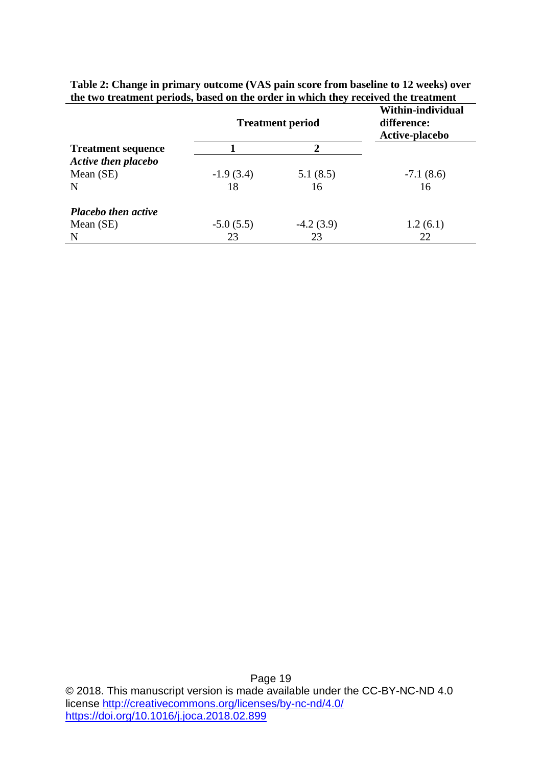|                            |             | <b>Treatment period</b> | Within-individual<br>difference:<br>Active-placebo |
|----------------------------|-------------|-------------------------|----------------------------------------------------|
| <b>Treatment sequence</b>  |             | $\mathcal{D}_{\cdot}$   |                                                    |
| <b>Active then placebo</b> |             |                         |                                                    |
| Mean $(SE)$                | $-1.9(3.4)$ | 5.1(8.5)                | $-7.1(8.6)$                                        |
| N                          | 18          | 16                      | 16                                                 |
| <b>Placebo then active</b> |             |                         |                                                    |
| Mean $(SE)$                | $-5.0(5.5)$ | $-4.2(3.9)$             | 1.2(6.1)                                           |
| N                          | 23          | 23                      | 22                                                 |

**Table 2: Change in primary outcome (VAS pain score from baseline to 12 weeks) over the two treatment periods, based on the order in which they received the treatment**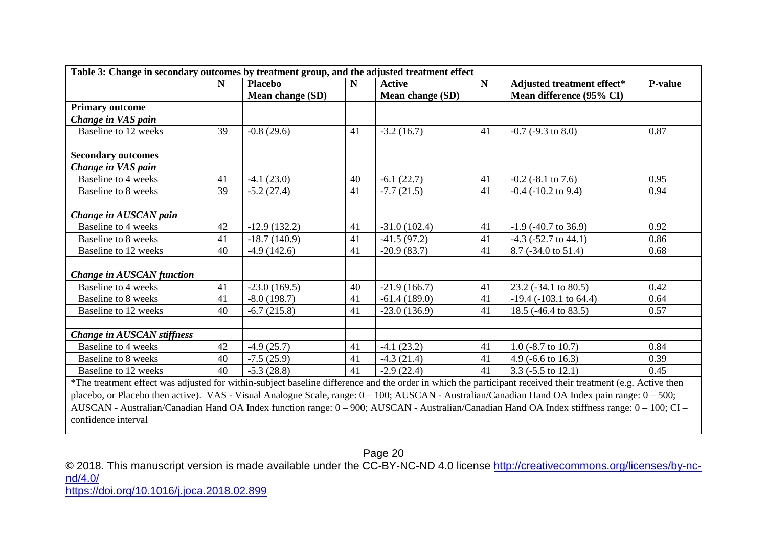| Table 3: Change in secondary outcomes by treatment group, and the adjusted treatment effect                                                                 |    |                  |    |                  |             |                                   |                |
|-------------------------------------------------------------------------------------------------------------------------------------------------------------|----|------------------|----|------------------|-------------|-----------------------------------|----------------|
|                                                                                                                                                             | N  | <b>Placebo</b>   | N  | <b>Active</b>    | $\mathbf N$ | Adjusted treatment effect*        | <b>P-value</b> |
|                                                                                                                                                             |    | Mean change (SD) |    | Mean change (SD) |             | Mean difference (95% CI)          |                |
| <b>Primary outcome</b>                                                                                                                                      |    |                  |    |                  |             |                                   |                |
| Change in VAS pain                                                                                                                                          |    |                  |    |                  |             |                                   |                |
| Baseline to 12 weeks                                                                                                                                        | 39 | $-0.8(29.6)$     | 41 | $-3.2(16.7)$     | 41          | $-0.7$ ( $-9.3$ to 8.0)           | 0.87           |
|                                                                                                                                                             |    |                  |    |                  |             |                                   |                |
| <b>Secondary outcomes</b>                                                                                                                                   |    |                  |    |                  |             |                                   |                |
| Change in VAS pain                                                                                                                                          |    |                  |    |                  |             |                                   |                |
| Baseline to 4 weeks                                                                                                                                         | 41 | $-4.1(23.0)$     | 40 | $-6.1(22.7)$     | 41          | $-0.2$ ( $-8.1$ to 7.6)           | 0.95           |
| Baseline to 8 weeks                                                                                                                                         | 39 | $-5.2(27.4)$     | 41 | $-7.7(21.5)$     | 41          | $-0.4$ ( $-10.2$ to 9.4)          | 0.94           |
|                                                                                                                                                             |    |                  |    |                  |             |                                   |                |
| Change in AUSCAN pain                                                                                                                                       |    |                  |    |                  |             |                                   |                |
| Baseline to 4 weeks                                                                                                                                         | 42 | $-12.9(132.2)$   | 41 | $-31.0(102.4)$   | 41          | $-1.9$ (-40.7 to 36.9)            | 0.92           |
| Baseline to 8 weeks                                                                                                                                         | 41 | $-18.7(140.9)$   | 41 | $-41.5(97.2)$    | 41          | $-4.3$ ( $-52.7$ to $44.1$ )      | 0.86           |
| Baseline to 12 weeks                                                                                                                                        | 40 | $-4.9(142.6)$    | 41 | $-20.9(83.7)$    | 41          | 8.7 (-34.0 to 51.4)               | 0.68           |
|                                                                                                                                                             |    |                  |    |                  |             |                                   |                |
| Change in AUSCAN function                                                                                                                                   |    |                  |    |                  |             |                                   |                |
| Baseline to 4 weeks                                                                                                                                         | 41 | $-23.0(169.5)$   | 40 | $-21.9(166.7)$   | 41          | $\overline{23.2}$ (-34.1 to 80.5) | 0.42           |
| Baseline to 8 weeks                                                                                                                                         | 41 | $-8.0(198.7)$    | 41 | $-61.4(189.0)$   | 41          | $-19.4$ ( $-103.1$ to 64.4)       | 0.64           |
| Baseline to 12 weeks                                                                                                                                        | 40 | $-6.7(215.8)$    | 41 | $-23.0(136.9)$   | 41          | 18.5 (-46.4 to 83.5)              | 0.57           |
|                                                                                                                                                             |    |                  |    |                  |             |                                   |                |
| <b>Change in AUSCAN stiffness</b>                                                                                                                           |    |                  |    |                  |             |                                   |                |
| Baseline to 4 weeks                                                                                                                                         | 42 | $-4.9(25.7)$     | 41 | $-4.1(23.2)$     | 41          | $1.0$ (-8.7 to 10.7)              | 0.84           |
| Baseline to 8 weeks                                                                                                                                         | 40 | $-7.5(25.9)$     | 41 | $-4.3(21.4)$     | 41          | 4.9 $(-6.6 \text{ to } 16.3)$     | 0.39           |
| Baseline to 12 weeks                                                                                                                                        | 40 | $-5.3(28.8)$     | 41 | $-2.9(22.4)$     | 41          | 3.3 $(-5.5 \text{ to } 12.1)$     | 0.45           |
| *The treatment effect was adjusted for within-subject baseline difference and the order in which the participant received their treatment (e.g. Active then |    |                  |    |                  |             |                                   |                |
| placebo, or Placebo then active). VAS - Visual Analogue Scale, range: 0 - 100; AUSCAN - Australian/Canadian Hand OA Index pain range: 0 - 500;              |    |                  |    |                  |             |                                   |                |
| AUSCAN - Australian/Canadian Hand OA Index function range: 0 - 900; AUSCAN - Australian/Canadian Hand OA Index stiffness range: 0 - 100; CI -               |    |                  |    |                  |             |                                   |                |
| confidence interval                                                                                                                                         |    |                  |    |                  |             |                                   |                |

Page 20

© 2018. This manuscript version is made available under the CC-BY-NC-ND 4.0 license <u>http://creativecommons.org/licenses/by-nc-</u> [nd/4.0/](http://creativecommons.org/licenses/by-nc-nd/4.0/)

<https://doi.org/10.1016/j.joca.2018.02.899>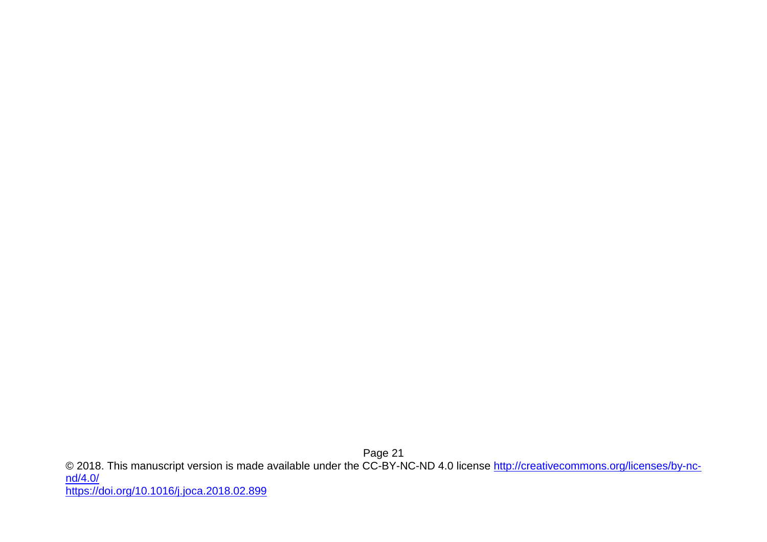© 2018. This manuscript version is made available under the CC-BY-NC-ND 4.0 license <u>http://creativecommons.org/licenses/by-nc-</u> [nd/4.0/](http://creativecommons.org/licenses/by-nc-nd/4.0/) <https://doi.org/10.1016/j.joca.2018.02.899>

Page 21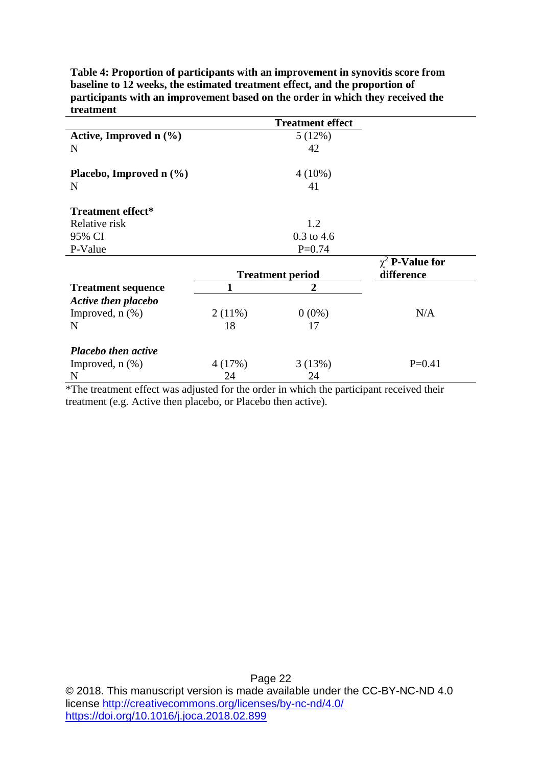|                              |           | <b>Treatment effect</b> |                      |
|------------------------------|-----------|-------------------------|----------------------|
| Active, Improved $n$ $(\%)$  |           | 5(12%)                  |                      |
| N                            |           | 42                      |                      |
|                              |           |                         |                      |
| Placebo, Improved $n$ $(\%)$ |           | $4(10\%)$               |                      |
| N                            |           | 41                      |                      |
| Treatment effect*            |           |                         |                      |
| Relative risk                |           | 1.2                     |                      |
| 95% CI                       |           | $0.3$ to 4.6            |                      |
| P-Value                      |           | $P=0.74$                |                      |
|                              |           |                         | $\chi^2$ P-Value for |
|                              |           | <b>Treatment period</b> | difference           |
| <b>Treatment sequence</b>    |           | 2                       |                      |
| <b>Active then placebo</b>   |           |                         |                      |
| Improved, $n$ $(\%)$         | $2(11\%)$ | $0(0\%)$                | N/A                  |
| N                            | 18        | 17                      |                      |
| <b>Placebo then active</b>   |           |                         |                      |
| Improved, $n$ $(\%)$         | 4(17%)    | 3(13%)                  | $P=0.41$             |
| N                            | 24        | 24                      |                      |

**Table 4: Proportion of participants with an improvement in synovitis score from baseline to 12 weeks, the estimated treatment effect, and the proportion of participants with an improvement based on the order in which they received the treatment**

\*The treatment effect was adjusted for the order in which the participant received their treatment (e.g. Active then placebo, or Placebo then active).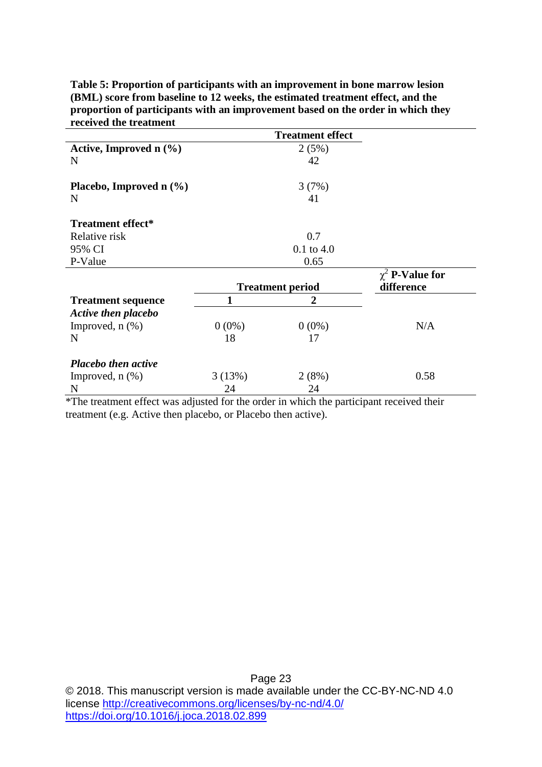|                            |          | <b>Treatment effect</b> |                      |
|----------------------------|----------|-------------------------|----------------------|
| Active, Improved $n$ (%)   |          | 2(5%)                   |                      |
| N                          |          | 42                      |                      |
|                            |          |                         |                      |
| Placebo, Improved n (%)    |          | 3(7%)                   |                      |
| N                          |          | 41                      |                      |
| Treatment effect*          |          |                         |                      |
| Relative risk              |          | 0.7                     |                      |
| 95% CI                     |          | $0.1$ to $4.0$          |                      |
| P-Value                    |          | 0.65                    |                      |
|                            |          |                         | $\chi^2$ P-Value for |
|                            |          | <b>Treatment period</b> | difference           |
| <b>Treatment sequence</b>  | 1        | 2                       |                      |
| <b>Active then placebo</b> |          |                         |                      |
| Improved, $n$ $(\%)$       | $0(0\%)$ | $0(0\%)$                | N/A                  |
| N                          | 18       | 17                      |                      |
| <b>Placebo then active</b> |          |                         |                      |
| Improved, $n$ $(\%)$       | 3(13%)   | 2(8%)                   | 0.58                 |
| N                          | 24       | 24                      |                      |

**Table 5: Proportion of participants with an improvement in bone marrow lesion (BML) score from baseline to 12 weeks, the estimated treatment effect, and the proportion of participants with an improvement based on the order in which they received the treatment**

\*The treatment effect was adjusted for the order in which the participant received their treatment (e.g. Active then placebo, or Placebo then active).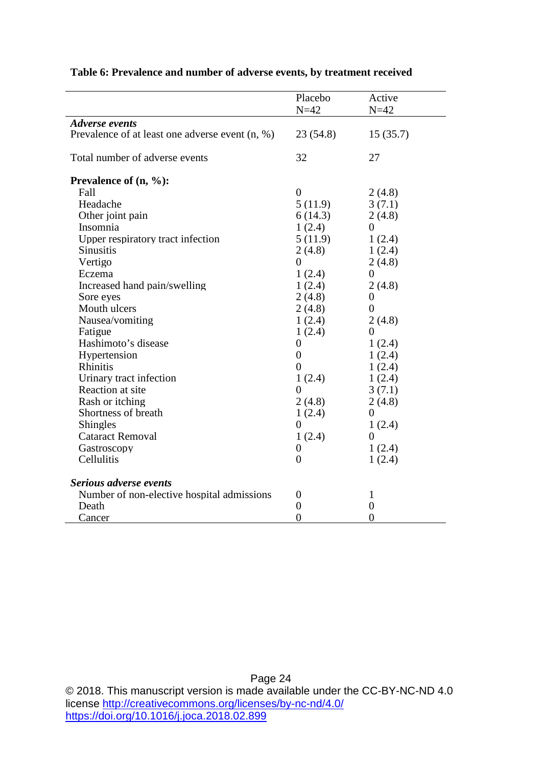# <span id="page-23-0"></span>**Table 6: Prevalence and number of adverse events, by treatment received**

|                                                   | Placebo<br>$N=42$ | Active<br>$N=42$ |
|---------------------------------------------------|-------------------|------------------|
| <b>Adverse</b> events                             |                   |                  |
| Prevalence of at least one adverse event $(n, %)$ | 23(54.8)          | 15(35.7)         |
| Total number of adverse events                    | 32                | 27               |
| Prevalence of (n, %):                             |                   |                  |
| Fall                                              | $\overline{0}$    | 2(4.8)           |
| Headache                                          | 5(11.9)           | 3(7.1)           |
| Other joint pain                                  | 6(14.3)           | 2(4.8)           |
| Insomnia                                          | 1(2.4)            | $\boldsymbol{0}$ |
| Upper respiratory tract infection                 | 5(11.9)           | 1(2.4)           |
| <b>Sinusitis</b>                                  | 2(4.8)            | 1(2.4)           |
| Vertigo                                           | $\overline{0}$    | 2(4.8)           |
| Eczema                                            | 1(2.4)            | $\overline{0}$   |
| Increased hand pain/swelling                      | 1(2.4)            | 2(4.8)           |
| Sore eyes                                         | 2(4.8)            | $\boldsymbol{0}$ |
| Mouth ulcers                                      | 2(4.8)            | $\overline{0}$   |
| Nausea/vomiting                                   | 1(2.4)            | 2(4.8)           |
| Fatigue                                           | 1(2.4)            | $\boldsymbol{0}$ |
| Hashimoto's disease                               | $\boldsymbol{0}$  | 1(2.4)           |
| Hypertension                                      | $\boldsymbol{0}$  | 1(2.4)           |
| <b>Rhinitis</b>                                   | $\overline{0}$    | 1(2.4)           |
| Urinary tract infection                           | 1(2.4)            | 1(2.4)           |
| Reaction at site                                  | $\overline{0}$    | 3(7.1)           |
| Rash or itching                                   | 2(4.8)            | 2(4.8)           |
| Shortness of breath                               | 1(2.4)            | $\overline{0}$   |
| Shingles                                          | $\boldsymbol{0}$  | 1(2.4)           |
| <b>Cataract Removal</b>                           | 1(2.4)            | $\boldsymbol{0}$ |
| Gastroscopy                                       | $\boldsymbol{0}$  | 1(2.4)           |
| Cellulitis                                        | $\overline{0}$    | 1(2.4)           |
| Serious adverse events                            |                   |                  |
| Number of non-elective hospital admissions        | $\boldsymbol{0}$  | 1                |
| Death                                             | 0                 | $\overline{0}$   |
| Cancer                                            | $\overline{0}$    | $\overline{0}$   |

Page 24 © 2018. This manuscript version is made available under the CC-BY-NC-ND 4.0 license<http://creativecommons.org/licenses/by-nc-nd/4.0/> <https://doi.org/10.1016/j.joca.2018.02.899>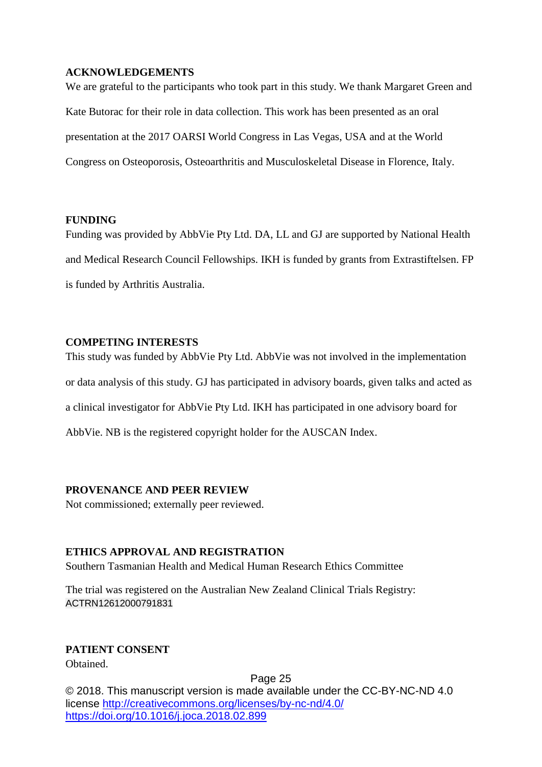# **ACKNOWLEDGEMENTS**

We are grateful to the participants who took part in this study. We thank Margaret Green and Kate Butorac for their role in data collection. This work has been presented as an oral presentation at the 2017 OARSI World Congress in Las Vegas, USA and at the World Congress on Osteoporosis, Osteoarthritis and Musculoskeletal Disease in Florence, Italy.

# **FUNDING**

Funding was provided by AbbVie Pty Ltd. DA, LL and GJ are supported by National Health and Medical Research Council Fellowships. IKH is funded by grants from Extrastiftelsen. FP is funded by Arthritis Australia.

# **COMPETING INTERESTS**

This study was funded by AbbVie Pty Ltd. AbbVie was not involved in the implementation or data analysis of this study. GJ has participated in advisory boards, given talks and acted as a clinical investigator for AbbVie Pty Ltd. IKH has participated in one advisory board for AbbVie. NB is the registered copyright holder for the AUSCAN Index.

# **PROVENANCE AND PEER REVIEW**

Not commissioned; externally peer reviewed.

# **ETHICS APPROVAL AND REGISTRATION**

Southern Tasmanian Health and Medical Human Research Ethics Committee

The trial was registered on the Australian New Zealand Clinical Trials Registry: ACTRN12612000791831

# **PATIENT CONSENT**

Obtained.

Page 25 © 2018. This manuscript version is made available under the CC-BY-NC-ND 4.0 license<http://creativecommons.org/licenses/by-nc-nd/4.0/> <https://doi.org/10.1016/j.joca.2018.02.899>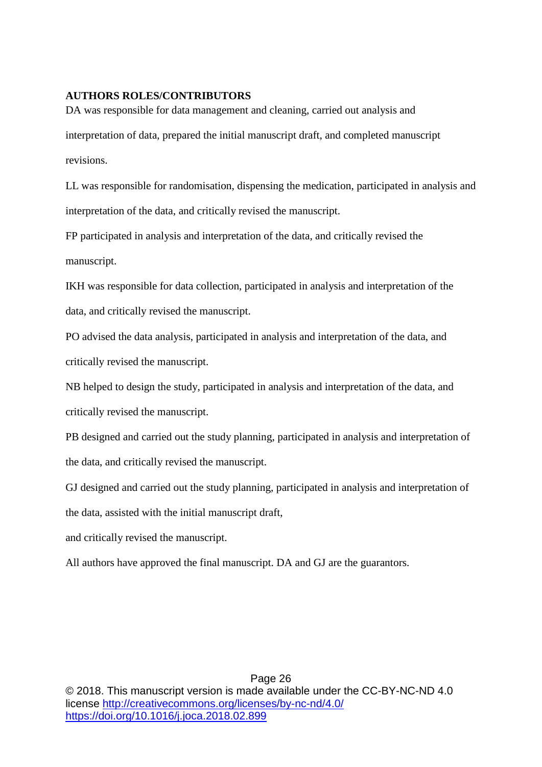# **AUTHORS ROLES/CONTRIBUTORS**

DA was responsible for data management and cleaning, carried out analysis and interpretation of data, prepared the initial manuscript draft, and completed manuscript revisions.

LL was responsible for randomisation, dispensing the medication, participated in analysis and interpretation of the data, and critically revised the manuscript.

FP participated in analysis and interpretation of the data, and critically revised the manuscript.

IKH was responsible for data collection, participated in analysis and interpretation of the data, and critically revised the manuscript.

PO advised the data analysis, participated in analysis and interpretation of the data, and critically revised the manuscript.

NB helped to design the study, participated in analysis and interpretation of the data, and critically revised the manuscript.

PB designed and carried out the study planning, participated in analysis and interpretation of the data, and critically revised the manuscript.

GJ designed and carried out the study planning, participated in analysis and interpretation of

the data, assisted with the initial manuscript draft,

and critically revised the manuscript.

All authors have approved the final manuscript. DA and GJ are the guarantors.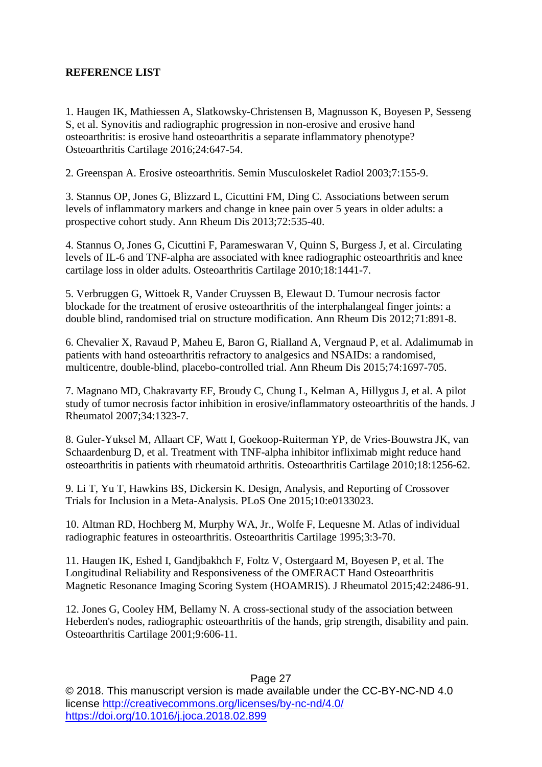# <span id="page-26-10"></span>**REFERENCE LIST**

<span id="page-26-0"></span>1. Haugen IK, Mathiessen A, Slatkowsky-Christensen B, Magnusson K, Boyesen P, Sesseng S, et al. Synovitis and radiographic progression in non-erosive and erosive hand osteoarthritis: is erosive hand osteoarthritis a separate inflammatory phenotype? Osteoarthritis Cartilage 2016;24:647-54.

<span id="page-26-1"></span>2. Greenspan A. Erosive osteoarthritis. Semin Musculoskelet Radiol 2003;7:155-9.

<span id="page-26-2"></span>3. Stannus OP, Jones G, Blizzard L, Cicuttini FM, Ding C. Associations between serum levels of inflammatory markers and change in knee pain over 5 years in older adults: a prospective cohort study. Ann Rheum Dis 2013;72:535-40.

<span id="page-26-3"></span>4. Stannus O, Jones G, Cicuttini F, Parameswaran V, Quinn S, Burgess J, et al. Circulating levels of IL-6 and TNF-alpha are associated with knee radiographic osteoarthritis and knee cartilage loss in older adults. Osteoarthritis Cartilage 2010;18:1441-7.

<span id="page-26-4"></span>5. Verbruggen G, Wittoek R, Vander Cruyssen B, Elewaut D. Tumour necrosis factor blockade for the treatment of erosive osteoarthritis of the interphalangeal finger joints: a double blind, randomised trial on structure modification. Ann Rheum Dis 2012;71:891-8.

<span id="page-26-5"></span>6. Chevalier X, Ravaud P, Maheu E, Baron G, Rialland A, Vergnaud P, et al. Adalimumab in patients with hand osteoarthritis refractory to analgesics and NSAIDs: a randomised, multicentre, double-blind, placebo-controlled trial. Ann Rheum Dis 2015;74:1697-705.

<span id="page-26-11"></span>7. Magnano MD, Chakravarty EF, Broudy C, Chung L, Kelman A, Hillygus J, et al. A pilot study of tumor necrosis factor inhibition in erosive/inflammatory osteoarthritis of the hands. J Rheumatol 2007;34:1323-7.

8. Guler-Yuksel M, Allaart CF, Watt I, Goekoop-Ruiterman YP, de Vries-Bouwstra JK, van Schaardenburg D, et al. Treatment with TNF-alpha inhibitor infliximab might reduce hand osteoarthritis in patients with rheumatoid arthritis. Osteoarthritis Cartilage 2010;18:1256-62.

<span id="page-26-6"></span>9. Li T, Yu T, Hawkins BS, Dickersin K. Design, Analysis, and Reporting of Crossover Trials for Inclusion in a Meta-Analysis. PLoS One 2015;10:e0133023.

<span id="page-26-7"></span>10. Altman RD, Hochberg M, Murphy WA, Jr., Wolfe F, Lequesne M. Atlas of individual radiographic features in osteoarthritis. Osteoarthritis Cartilage 1995;3:3-70.

<span id="page-26-8"></span>11. Haugen IK, Eshed I, Gandjbakhch F, Foltz V, Ostergaard M, Boyesen P, et al. The Longitudinal Reliability and Responsiveness of the OMERACT Hand Osteoarthritis Magnetic Resonance Imaging Scoring System (HOAMRIS). J Rheumatol 2015;42:2486-91.

<span id="page-26-9"></span>12. Jones G, Cooley HM, Bellamy N. A cross-sectional study of the association between Heberden's nodes, radiographic osteoarthritis of the hands, grip strength, disability and pain. Osteoarthritis Cartilage 2001;9:606-11.

Page 27 © 2018. This manuscript version is made available under the CC-BY-NC-ND 4.0 license<http://creativecommons.org/licenses/by-nc-nd/4.0/> <https://doi.org/10.1016/j.joca.2018.02.899>